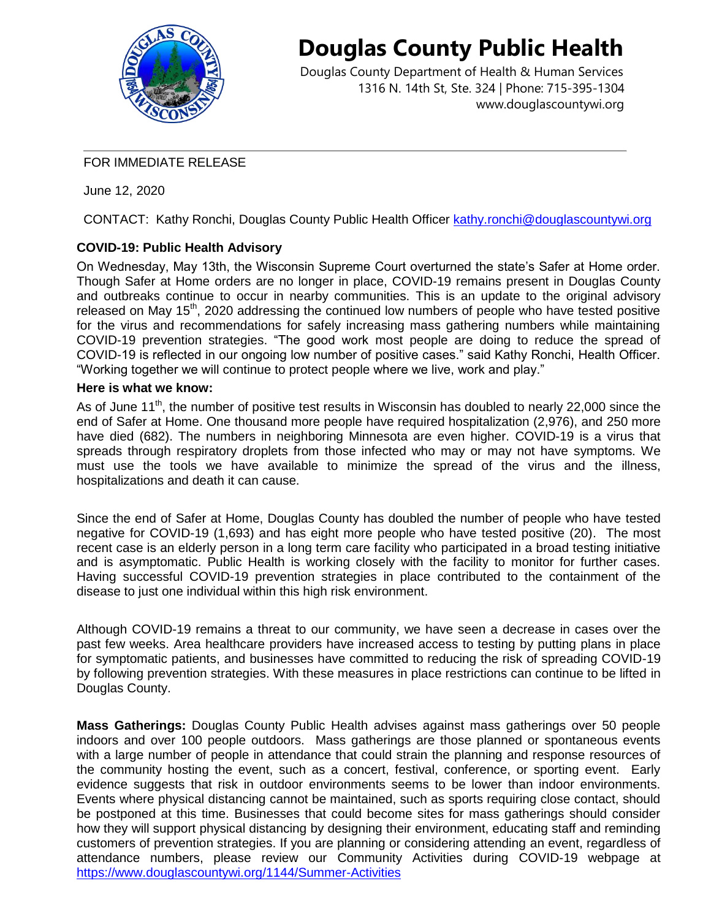

# **Douglas County Public Health**

Douglas County Department of Health & Human Services 1316 N. 14th St, Ste. 324 | Phone: 715-395-1304 [www.douglascountywi.org](http://www.douglascountywi.org/)

#### FOR IMMEDIATE RELEASE

June 12, 2020

CONTACT: Kathy Ronchi, Douglas County Public Health Officer [kathy.ronchi@douglascountywi.org](mailto:kelli.engen@sccwi.gov)

## **COVID-19: Public Health Advisory**

On Wednesday, May 13th, the Wisconsin Supreme Court overturned the state's Safer at Home order. Though Safer at Home orders are no longer in place, COVID-19 remains present in Douglas County and outbreaks continue to occur in nearby communities. This is an update to the original advisory released on May  $15<sup>th</sup>$ , 2020 addressing the continued low numbers of people who have tested positive for the virus and recommendations for safely increasing mass gathering numbers while maintaining COVID-19 prevention strategies. "The good work most people are doing to reduce the spread of COVID-19 is reflected in our ongoing low number of positive cases." said Kathy Ronchi, Health Officer. "Working together we will continue to protect people where we live, work and play."

#### **Here is what we know:**

As of June 11<sup>th</sup>, the number of positive test results in Wisconsin has doubled to nearly 22,000 since the end of Safer at Home. One thousand more people have required hospitalization (2,976), and 250 more have died (682). The numbers in neighboring Minnesota are even higher. COVID-19 is a virus that spreads through respiratory droplets from those infected who may or may not have symptoms. We must use the tools we have available to minimize the spread of the virus and the illness, hospitalizations and death it can cause.

Since the end of Safer at Home, Douglas County has doubled the number of people who have tested negative for COVID-19 (1,693) and has eight more people who have tested positive (20). The most recent case is an elderly person in a long term care facility who participated in a broad testing initiative and is asymptomatic. Public Health is working closely with the facility to monitor for further cases. Having successful COVID-19 prevention strategies in place contributed to the containment of the disease to just one individual within this high risk environment.

Although COVID-19 remains a threat to our community, we have seen a decrease in cases over the past few weeks. Area healthcare providers have increased access to testing by putting plans in place for symptomatic patients, and businesses have committed to reducing the risk of spreading COVID-19 by following prevention strategies. With these measures in place restrictions can continue to be lifted in Douglas County.

**Mass Gatherings:** Douglas County Public Health advises against mass gatherings over 50 people indoors and over 100 people outdoors. Mass gatherings are those planned or spontaneous events with a large number of people in attendance that could strain the planning and response resources of the community hosting the event, such as a concert, festival, conference, or sporting event. Early evidence suggests that risk in outdoor environments seems to be lower than indoor environments. Events where physical distancing cannot be maintained, such as sports requiring close contact, should be postponed at this time. Businesses that could become sites for mass gatherings should consider how they will support physical distancing by designing their environment, educating staff and reminding customers of prevention strategies. If you are planning or considering attending an event, regardless of attendance numbers, please review our Community Activities during COVID-19 webpage at <https://www.douglascountywi.org/1144/Summer-Activities>